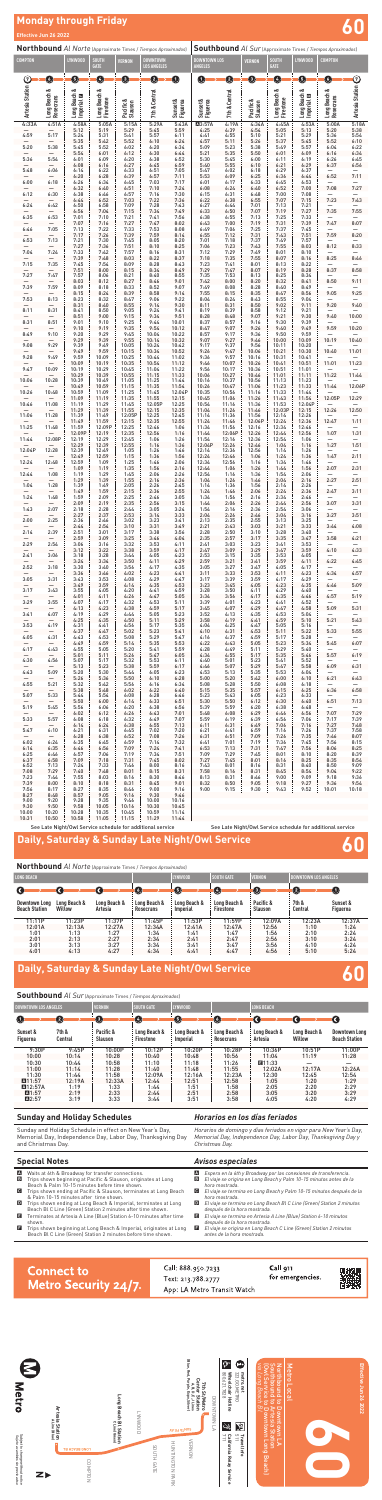| Northbound Al Norte (Approximate Times / Tiempos Aproximados) |                                   |                            |                           |                            |                                       |                      | <b>Southbound</b> Al Sur (Approximate Times / Tiempos Aproximados) |                 |                      |                           |                                   |                                  |                  |
|---------------------------------------------------------------|-----------------------------------|----------------------------|---------------------------|----------------------------|---------------------------------------|----------------------|--------------------------------------------------------------------|-----------------|----------------------|---------------------------|-----------------------------------|----------------------------------|------------------|
| <b>COMPTON</b>                                                |                                   | LYNWOOD                    | <b>SOUTH</b><br>GATE      | <b>VERNON</b>              | <b>DOWNTOWN</b><br><b>LOS ANGELES</b> |                      | <b>DOWNTOWN LOS</b><br><b>ANGELES</b>                              |                 | <b>VERNON</b>        | <b>SOUTH</b><br>GATE      | LYNWOOD                           | <b>COMPTON</b>                   |                  |
| $\odot$                                                       | $\mathbf 0$                       | ❺                          | $\bullet$                 | ❺                          | ❷                                     | ➊                    | 0                                                                  | ❸               | ❺                    | $\bullet$                 | ❺                                 | O                                | $\odot$          |
| <b>Artesia Station</b>                                        | Long Beach &<br>Rosecrans         | Long Beach &<br>Imperial E | Long Beach &<br>Firestone | Pacific &<br>Slauson       | 7th & Central                         | Sunset &<br>Figueroa | Sunset &<br>Figueroa                                               | 7th & Central   | Pacific &<br>Slauson | Long Beach &<br>Firestone | Long Beach &<br>Imperial <b>D</b> | Long Beach &<br>Rosecrans        | Artesia Station  |
| 4:33A                                                         | 4:51A                             | 4:58A                      | 5:05A                     | 5:15A                      | 5:29A                                 | 5:43A                | A3:57A                                                             | 4:19A           | 4:34A                | 4:45A                     | 4:53A                             | 5:00A                            | 5:18A            |
| 4:59                                                          | 5:17                              | 5:12<br>5:24               | 5:19<br>5:31              | 5:29<br>5:41               | 5:45<br>5:57                          | 5:59<br>6:11         | 4:25<br>4:41                                                       | 4:39<br>4:55    | 4:54<br>5:10         | 5:05<br>5:21              | 5:13<br>5:29                      | 5:20<br>5:36                     | 5:38<br>5:54     |
| 5:20                                                          | 5:38                              | 5:35<br>5:45               | 5:42<br>5:52              | 5:52<br>6:02               | 6:10<br>6:20                          | 6:24<br>6:34         | 4:57<br>5:09                                                       | 5:11<br>5:23    | 5:26<br>5:38         | 5:37<br>5:49              | 5:45<br>5:57                      | 5:52<br>6:04                     | 6:10<br>6:22     |
|                                                               |                                   | 5:54                       | 6:01                      | 6:12                       | 6:30                                  | 6:44                 | 5:21                                                               | 5:35            | 5:50                 | 6:01                      | 6:09                              | 6:16                             | 6:34             |
| 5:36                                                          | 5:54                              | 6:01<br>6:08               | 6:09<br>6:16              | 6:20<br>6:27               | 6:38<br>6:45                          | 6:52<br>6:59         | 5:30<br>5:40                                                       | 5:45<br>5:55    | 6:00<br>6:10         | 6:11<br>6:21              | 6:19<br>6:29                      | 6:26<br>6:37                     | 6:45<br>6:56     |
| 5:48                                                          | 6:06                              | 6:14<br>6:20               | 6:22<br>6:28              | 6:33<br>6:39               | 6:51<br>6:57                          | 7:05<br>7:11         | 5:47<br>5:53                                                       | 6:02<br>6:09    | 6:18<br>6:25         | 6:29<br>6:36              | 6:37<br>6:44                      | 6:52                             | 7:11             |
| 6:00                                                          | 6:18                              | 6:26<br>6:32               | 6:34                      | 6:45<br>6:51               | 7:03<br>7:10                          | 7:17<br>7:24         | 6:01<br>6:08                                                       | 6:17<br>6:24    | 6:33<br>6:40         | 6:45                      | 6:53<br>7:00                      | 7:08                             | 7:27             |
| 6:12                                                          | 6:30                              | 6:38                       | 6:40<br>6:46              | 6:57                       | 7:16                                  | 7:30                 | 6:15                                                               | 6:31            | 6:48                 | 6:52<br>7:00              | 7:08                              |                                  |                  |
| 6:24                                                          | 6:42                              | 6:44<br>6:50               | 6:52<br>6:58              | 7:03<br>7:09               | 7:22<br>7:28                          | 7:36<br>7:43         | 6:22<br>6:27                                                       | 6:38<br>6:44    | 6:55<br>7:01         | 7:07<br>7:13              | 7:15<br>7:21                      | 7:23                             | 7:43             |
| 6:35                                                          | 6:53                              | 6:56<br>7:01               | 7:04<br>7:10              | 7:15                       | 7:34<br>7:41                          | 7:49<br>7:56         | 6:33<br>6:38                                                       | 6:50<br>6:55    | 7:07<br>7:13         | 7:19<br>7:25              | 7:27<br>7:33                      | 7:35                             | 7:55             |
| 6:46                                                          | 7:05                              | 7:07<br>7:13               | 7:16<br>7:22              | $7:21$<br>$7:27$<br>$7:33$ | 7:47<br>7:53                          | 8:02                 | 6:43<br>6:49                                                       | 7:00<br>7:06    | 7:19<br>7:25         | 7:31<br>7:37              | 7:39<br>7:45                      | 7:47                             | 8:07             |
|                                                               |                                   | 7:17                       | 7:26                      | 7:39                       | 7:59                                  | 8:08<br>8:14         | 6:55                                                               | 7:12            | 7:31                 | 7:43                      | 7:51                              | 7:59                             | 8:20             |
| 6:53                                                          | 7:13                              | 7:21<br>7:27               | 7:30<br>7:36              | 7:45<br>7:51               | 8:05<br>8:10                          | 8:20<br>8:25         | 7:01<br>7:06                                                       | 7:18<br>7:23    | 7:37<br>7:43         | 7:49<br>7:55              | 7:57<br>8:03                      | 8:12                             | 8:33             |
| 7:04                                                          | 7:24                              | 7:33<br>7:39               | 7:42<br>7:48              | 7:57<br>8:03               | 8:16<br>8:22                          | 8:31<br>8:37         | 7:12<br>7:18                                                       | 7:29<br>7:35    | 7:49<br>7:55         | 8:01<br>8:07              | 8:10<br>8:16                      | 8:25                             | 8:46             |
| 7:15                                                          | 7:35                              | 7:45                       | 7:54                      | 8:09                       | 8:28                                  | 8:43                 | 7:23                                                               | 7:41            | 8:01                 | 8:13                      | 8:22                              |                                  |                  |
| 7:27                                                          | 7:47                              | 7:51<br>7:57               | 8:00<br>8:06              | 8:15<br>8:21               | 8:34<br>8:40                          | 8:49<br>8:55         | 7:29<br>7:35                                                       | 7:47<br>7:53    | 8:07<br>8:13         | 8:19<br>8:25              | 8:28<br>8:34                      | 8:37                             | 8:58             |
| 7:39                                                          | 7:59                              | 8:03<br>8:09               | 8:12<br>8:18              | 8:27<br>8:33               | 8:46<br>8:52                          | 9:01<br>9:07         | 7:42<br>7:49                                                       | 8:00<br>8:08    | 8:20<br>8:28         | 8:32<br>8:40              | 8:41<br>8:49                      | 8:50                             | 9:11             |
| 7:53                                                          | 8:13                              | 8:15<br>8:23               | 8:24<br>8:32              | 8:39<br>8:47               | 8:58<br>9:06                          | 9:14<br>9:22         | 7:55<br>8:04                                                       | 8:15<br>8:24    | 8:35<br>8:43         | 8:47<br>8:55              | 8:56<br>9:04                      | 9:05                             | 9:25             |
|                                                               |                                   | 8:31                       | 8:40                      | 8:55                       | 9:14                                  | 9:30                 | 8:11                                                               | 8:31            | 8:50                 | 9:02                      | 9:11                              | 9:20                             | 9:40             |
| 8:11                                                          | 8:31                              | 8:41<br>8:51               | 8:50<br>9:00              | 9:05<br>9:15               | 9:24<br>9:34                          | 9:41<br>9:51         | 8:19<br>8:28                                                       | 8:39<br>8:48    | 8:58<br>9:07         | 9:12<br>9:21              | 9:21<br>9:30                      | 9:40                             | 10:00            |
| 8:31                                                          | 8:51                              | 9:01<br>9:10               | 9:10<br>9:19              | 9:25<br>9:35               | 9:44<br>9:54                          | 10:01<br>10:12       | 8:37<br>8:47                                                       | 8:57<br>9:07    | 9:16<br>9:26         | 9:30<br>9:40              | 9:39<br>9:49                      | 9:59                             | 10:20            |
| 8:49                                                          | 9:10                              | 9:20<br>9:29               | 9:29<br>9:39              | 9:45<br>9:55               | 10:04<br>10:14                        | 10:22<br>10:32       | 8:57<br>9:07                                                       | 9:17<br>9:27    | 9:36<br>9:46         | 9:50<br>10:00             | 9:59<br>10:09                     | 10:19                            | 10:40            |
| 9:08                                                          | 9:29                              | 9:39                       | 9:49                      | 10:05                      | 10:24                                 | 10:42                | 9:17                                                               | 9:37            | 9:56                 | 10:11                     | 10:20                             |                                  |                  |
| 9:28                                                          | 9:49                              | 9:49<br>9:59               | 9:59<br>10:09             | 10:15<br>10:25             | 10:34<br>10:44                        | 10:52<br>11:02       | 9:26<br>9:36                                                       | 9:47<br>9:57    | 10:06<br>10:16       | 10:21<br>10:31            | 10:30<br>10:41                    | 10:40                            | 11:01            |
| 9:47                                                          | 10:09                             | 10:09<br>10:19             | 10:19<br>10:29            | 10:35                      | 10:54<br>11:04                        | 11:12<br>11:22       | 9:46<br>9:56                                                       | 10:07<br>10:17  | 10:26<br>10:36       | 10:41<br>10:51            | 10:51<br>11:01                    | 11:01                            | 11:23            |
|                                                               |                                   | 10:29                      | 10:39                     | $10:45$<br>$10:55$         | 11:15                                 | 11:33                | 10:06                                                              | 10:27           | 10:46                | 11:01                     | 11:11                             | 11:22                            | 11:44            |
| 10:06                                                         | 10:28<br>$\overline{\phantom{0}}$ | 10:39<br>10:49             | 10:49<br>10:59            | 11:05<br>11:15             | 11:25<br>11:35                        | 11:44<br>11:54       | 10:16<br>10:26                                                     | 10:37<br>10:47  | 10:56<br>11:06       | 11:13<br>11:23            | 11:23<br>11:33                    | 11:44                            | 12:06P           |
| 10:26                                                         | 10:48<br>$\qquad \qquad -$        | 10:59<br>11:09             | 11:09<br>11:19            | 11:25<br>11:35             | 11:45<br>11:55                        | 12:04P<br>12:15      | 10:35<br>10:45                                                     | 10:56<br>11:06  | 11:16<br>11:26       | 11:33<br>11:43            | 11:44<br>11:54                    | 12:05P                           | 12:29            |
| 10:46                                                         | 11:08<br>$\overline{\phantom{0}}$ | 11:19<br>11:29             | 11:29<br>11:39            | 11:45<br>11:55             | 12:05P<br>12:15                       | 12:25<br>12:35       | 10:54<br>11:04                                                     | 11:16<br>11:26  | 11:36<br>11:46       | 11:53<br>12:03P           | 12:04P<br>12:15                   | $\qquad \qquad -$<br>12:26       | 12:50            |
| 11:06                                                         | 11:28                             | 11:39                      | 11:49                     | 12:05P                     | 12:25                                 | 12:45                | 11:14                                                              | 11:36           | 11:56                | 12:14                     | 12:26                             | —                                | $\frac{-}{1:11}$ |
| 11:25                                                         | 11:48                             | 11:49<br>11:59             | 11:59<br>12:09P           | 12:15<br>12:25             | 12:35<br>12:46                        | 12:55<br>1:06        | 11:24<br>11:34                                                     | 11:46<br>11:56  | 12:06P<br>12:16      | 12:24<br>12:34            | 12:36<br>12:46                    | 12:47                            |                  |
| 11:44                                                         | $\qquad \qquad -$<br>12:08P       | 12:09P<br>12:19            | 12:19<br>12:29            | 12:35<br>12:45             | 12:56<br>1:06                         | 1:16<br>1:26         | 11:44<br>11:54                                                     | 12:06P<br>12:16 | 12:26<br>12:36       | 12:44<br>12:54            | 12:56<br>1:06                     | 1:07<br>-                        | 1:31             |
| 12:04P                                                        | $\qquad \qquad -$<br>12:28        | 12:29<br>12:39             | 12:39<br>12:49            | 12:55<br>1:05              | 1:16<br>1:26                          | 1:36<br>1:46         | 12:04P<br>12:14                                                    | 12:26<br>12:36  | 12:46<br>12:56       | 1:04<br>1:14              | 1:16<br>1:26                      | 1:27                             | 1:51             |
|                                                               | $\overline{\phantom{m}}$          | 12:49                      | 12:59                     | 1:15                       | 1:36                                  | 1:56                 | 12:24                                                              | 12:46           | 1:06                 | 1:24                      | 1:36                              | —<br>1:47                        | 2:11             |
| 12:24                                                         | 12:48                             | 12:59<br>1:09              | 1:09<br>1:19              | 1:25<br>1:35               | 1:46<br>1:56                          | 2:06<br>2:16         | 12:34<br>12:44                                                     | 12:56<br>1:06   | 1:16<br>1:26         | 1:34<br>1:44              | 1:46<br>1:56                      | 2:07                             | 2:31             |
| 12:44                                                         | 1:08<br>$\qquad \qquad -$         | 1:19<br>1:29               | 1:29<br>1:39              | 1:45<br>1:55               | 2:06<br>2:16                          | 2:26<br>2:36         | 12:54<br>1:04                                                      | 1:16<br>1:26    | 1:36<br>1:46         | 1:54<br>2:04              | 2:06<br>2:16                      | $\overline{\phantom{0}}$<br>2:27 | 2:51             |
| 1:04                                                          | 1:28<br>$\overline{\phantom{m}}$  | 1:39<br>1:49               | 1:49<br>1:59              | 2:05<br>2:15               | 2:26<br>2:36                          | 2:45<br>2:55         | 1:14<br>1:24                                                       | 1:36<br>1:46    | 1:56<br>2:06         | 2:14<br>2:24              | 2:26<br>2:36                      | $\overline{\phantom{0}}$<br>2:47 | —<br>3:11        |
| 1:24                                                          | 1:48                              | 1:59                       | 2:09                      | 2:25                       | 2:46                                  | 3:05                 | 1:34                                                               | 1:56            | 2:16                 | 2:34                      | 2:46                              | —                                |                  |
| 1:43                                                          | 2:07                              | 2:09<br>2:18               | 2:19<br>2:28              | 2:35<br>2:44               | 2:56<br>3:05                          | 3:15<br>3:24         | 1:44<br>1:54                                                       | 2:06<br>2:16    | 2:26<br>2:36         | 2:44<br>2:54              | 2:56<br>3:06                      | 3:07<br>—                        | 3:31             |
| 2:00                                                          | $\qquad \qquad -$<br>2:25         | 2:27<br>2:36               | 2:37<br>2:46              | 2:53<br>3:02               | 3:14<br>3:23                          | 3:33<br>3:41         | 2:04<br>2:13                                                       | 2:26<br>2:35    | 2:46<br>2:55         | 3:04<br>3:13              | 3:16<br>3:25                      | 3:27<br>—                        | 3:51             |
|                                                               | $\overline{\phantom{0}}$          | 2:44                       | 2:54                      | 3:10                       | 3:31                                  | 3:49                 | 2:21                                                               | 2:43            | 3:03                 | 3:21                      | 3:33                              | 3:44                             | 4:08             |
| 2:14                                                          | 2:39<br>$\qquad \qquad -$         | 2:51<br>2:59               | 3:01<br>3:09              | 3:17<br>3:25               | 3:38<br>3:46                          | 3:56<br>4:04         | 2:28<br>2:35                                                       | 2:50<br>2:57    | 3:10<br>3:17         | 3:28<br>3:35              | 3:40<br>3:47                      | $\qquad \qquad -$<br>3:58        | —<br>4:21        |
| 2:29                                                          | 2:54<br>$\overline{\phantom{0}}$  | 3:06<br>3:12               | 3:16<br>3:22              | 3:32<br>3:38               | 3:53<br>3:59                          | 4:11<br>4:17         | 2:41<br>2:47                                                       | 3:03<br>3:09    | 3:23<br>3:29         | 3:41<br>3:47              | 3:53<br>3:59                      | —<br>4:10                        | 4:33             |
| 2:41                                                          | 3:06<br>$\qquad \qquad -$         | 3:18<br>3:24               | 3:28<br>3:34              | 3:44<br>3:50               | 4:05<br>4:11                          | 4:23<br>4:29         | 2:53<br>2:59                                                       | 3:15<br>3:21    | 3:35<br>3:41         | 3:53<br>3:59              | 4:05<br>4:11                      | —<br>4:22                        | —<br>4:45        |
| 2:52                                                          | 3:18                              | 3:30                       | 3:40                      | 3:56                       | 4:17                                  | 4:35                 | 3:05                                                               | 3:27            | 3:47                 | 4:05                      | 4:17                              | —                                | —                |
| 3:05                                                          | $\qquad \qquad -$<br>3:31         | 3:36<br>3:43               | 3:46<br>3:53              | 4:02<br>4:08               | 4:23<br>4:29                          | 4:41<br>4:47         | 3:11<br>3:17                                                       | 3:33<br>3:39    | 3:53<br>3:59         | 4:11<br>4:17              | 4:23<br>4:29                      | 4:34<br>$\overline{\phantom{0}}$ | 4:57<br>—        |
| 3:17                                                          | $\qquad \qquad -$<br>3:43         | 3:49<br>3:55               | 3:59<br>4:05              | 4:14<br>4:20               | 4:35<br>4:41                          | 4:53<br>4:59         | 3:23<br>3:28                                                       | 3:45<br>3:50    | 4:05<br>4:11         | 4:23<br>4:29              | 4:35<br>4:40                      | 4:46<br>—                        | 5:09             |
| 3:29                                                          | 3:55                              | 4:01<br>4:07               | 4:11<br>4:17              | 4:26<br>4:32               | 4:47<br>4:53                          | 5:05<br>5:11         | 3:34<br>3:39                                                       | 3:56<br>4:01    | 4:17<br>4:23         | 4:35<br>4:41              | 4:46<br>4:52                      | 4:57                             | 5:19             |
|                                                               | $\overline{\phantom{0}}$          | 4:13                       | 4:23                      | 4:38                       | 4:59                                  | 5:17                 | 3:45                                                               | 4:07            | 4:29                 | 4:47                      | 4:58                              | 5:09                             | 5:31             |
| 3:41                                                          | 4:07<br>$\qquad \qquad -$         | 4:19<br>4:25               | 4:29<br>4:35              | 4:44<br>4:50               | 5:05<br>5:11                          | 5:23<br>5:29         | 3:52<br>3:58                                                       | 4:13<br>4:19    | 4:35<br>4:41         | 4:53<br>4:59              | 5:04<br>5:10                      | 5:21                             | 5:43             |
| 3:53                                                          | 4:19<br>$\qquad \qquad -$         | 4:31<br>4:37               | 4:41<br>4:47              | 4:56<br>5:02               | 5:17<br>5:23                          | 5:35<br>5:41         | 4:04<br>4:10                                                       | 4:25<br>4:31    | 4:47<br>4:53         | 5:05<br>5:11              | 5:16<br>5:22                      | 5:33                             | 5:55             |
| 4:05                                                          | 4:31<br>$\qquad \qquad -$         | 4:43<br>4:49               | 4:53<br>4:59              | 5:08<br>5:14               | 5:29<br>5:35                          | 5:47<br>5:53         | 4:16<br>4:22                                                       | 4:37<br>4:43    | 4:59                 | 5:17<br>5:23              | 5:28<br>5:34                      | $\qquad \qquad -$<br>5:45        | —<br>6:07        |
| 4:17                                                          | 4:43                              | 4:55                       | 5:05                      | 5:20                       | 5:41                                  | 5:59                 | 4:28                                                               | 4:49            | 5:05<br>5:11         | 5:29                      | 5:40                              |                                  |                  |
| 4:30                                                          | $\qquad \qquad -$<br>4:56         | 5:01<br>5:07               | 5:11<br>5:17              | 5:26<br>5:32               | 5:47<br>5:53                          | 6:05<br>6:11         | 4:34<br>4:40                                                       | 4:55<br>5:01    | 5:17<br>5:23         | 5:35<br>5:41              | 5:46<br>5:52                      | 5:57<br>—                        | 6:19             |
| 4:43                                                          | 5:09                              | 5:13<br>5:20               | 5:23<br>5:30              | 5:38<br>5:44               | 5:59<br>6:05                          | 6:17<br>6:23         | 4:46<br>4:53                                                       | 5:07<br>5:13    | 5:29<br>5:35         | 5:47<br>5:53              | 5:58<br>6:04                      | 6:09                             | 6:31<br>—        |
|                                                               |                                   | 5:26                       | 5:36                      | 5:50                       | 6:10                                  | 6:28                 | 5:00                                                               | 5:20            | 5:42                 | 6:00                      | 6:10                              | 6:21                             | 6:43             |

- **A** Waits at 6th & Broadway for transfer connections.<br>**El** Trips shown beginning at Pacific & Slauson, origin
- B Trips shown beginning at Pacific & Slauson, originates at Long Beach & Palm 10-15 minutes before time shown.
- C Trips shown ending at Pacific & Slauson, terminates at Long Beach & Palm 10-15 minutes after time shown.
- D Trips shown ending at Long Beach & Imperial, terminates at Long Beach Bl C Line (Green) Station 2 minutes after time shown.
- E Terminates at Artesia A Line (Blue) Station 6-10 minutes after time
- shown. F Trips shown beginning at Long Beach & Imperial, originates at Long Beach Bl C Line (Green) Station 2 minutes before time shown.

| 4:55                     | 5:21                     | 5:32  | 5:42  | 5:56  | 6:16  | 6:34  | 5:08 | 5:28 | 5:50 | 6:08 | 6:18 | -                        |       |
|--------------------------|--------------------------|-------|-------|-------|-------|-------|------|------|------|------|------|--------------------------|-------|
| —                        | —                        | 5:38  | 5:48  | 6:02  | 6:22  | 6:40  | 5:15 | 5:35 | 5:57 | 6:15 | 6:25 | 6:36                     | 6:58  |
| 5:07                     | 5:33                     | 5:44  | 5:54  | 6:08  | 6:28  | 6:46  | 5:23 | 5:43 | 6:05 | 6:23 | 6:33 | $\overline{\phantom{m}}$ |       |
| $\overline{\phantom{0}}$ | —                        | 5:50  | 6:00  | 6:14  | 6:33  | 6:51  | 5:30 | 5:50 | 6:12 | 6:30 | 6:40 | 6:51                     | 7:13  |
| 5:19                     | 5:45                     | 5:56  | 6:06  | 6:20  | 6:38  | 6:56  | 5:39 | 5:59 | 6:20 | 6:38 | 6:48 | $\overline{\phantom{0}}$ | —     |
| $\overline{\phantom{0}}$ | $\overline{\phantom{0}}$ | 6:02  | 6:12  | 6:26  | 6:43  | 7:01  | 5:48 | 6:08 | 6:29 | 6:46 | 6:56 | 7:07                     | 7:29  |
| 5:33                     | 5:57                     | 6:08  | 6:18  | 6:32  | 6:49  | 7:07  | 5:59 | 6:19 | 6:39 | 6:56 | 7:06 | 7:17                     | 7:39  |
| $-$                      | $\overline{\phantom{0}}$ | 6:14  | 6:24  | 6:38  | 6:55  | 7:13  | 6:11 | 6:31 | 6:49 | 7:06 | 7:16 | 7:27                     | 7:48  |
| 5:47                     | 6:10                     | 6:21  | 6:31  | 6:45  | 7:02  | 7:20  | 6:21 | 6:41 | 6:59 | 7:16 | 7:26 | 7:37                     | 7:58  |
| $-$                      | $\overline{\phantom{0}}$ | 6:28  | 6:38  | 6:52  | 7:08  | 7:26  | 6:31 | 6:51 | 7:09 | 7:26 | 7:35 | 7:46                     | 8:07  |
| 6:02                     | 6:24                     | 6:35  | 6:45  | 6:59  | 7:14  | 7:32  | 6:41 | 7:01 | 7:19 | 7:36 | 7:45 | 7:56                     | 8:15  |
| 6:14                     | 6:35                     | 6:46  | 6:56  | 7:09  | 7:24  | 7:41  | 6:53 | 7:13 | 7:31 | 7:47 | 7:56 | 8:06                     | 8:25  |
| 6:25                     | 6:46                     | 6:57  | 7:06  | 7:19  | 7:34  | 7:51  | 7:09 | 7:29 | 7:45 | 8:01 | 8:10 | 8:20                     | 8:39  |
| 6:37                     | 6:58                     | 7:09  | 7:18  | 7:31  | 7:45  | 8:02  | 7:27 | 7:45 | 8:01 | 8:16 | 8:25 | 8:35                     | 8:54  |
| 6:52                     | 7:13                     | 7:24  | 7:33  | 7:46  | 8:00  | 8:16  | 7:43 | 8:01 | 8:16 | 8:31 | 8:40 | 8:50                     | 9:09  |
| 7:08                     | 7:29                     | 7:40  | 7:48  | 8:01  | 8:15  | 8:31  | 7:58 | 8:16 | 8:31 | 8:45 | 8:54 | 9:04                     | 9:22  |
| 7:23                     | 7:44                     | 7:55  | 8:03  | 8:16  | 8:30  | 8:46  | 8:13 | 8:31 | 8:46 | 9:00 | 9:09 | 9:18                     | 9:36  |
| 7:39                     | 8:00                     | 8:10  | 8:18  | 8:31  | 8:45  | 9:01  | 8:32 | 8:50 | 9:05 | 9:18 | 9:27 | 9:36                     | 9:54  |
| 7:56                     | 8:17                     | 8:27  | 8:35  | 8:46  | 9:00  | 9:16  | 9:00 | 9:15 | 9:30 | 9:43 | 9:52 | 10:01                    | 10:18 |
| 8:27                     | 8:48                     | 8:57  | 9:05  | 9:16  | 9:30  | 9:46  |      |      |      |      |      |                          |       |
| 9:00                     | 9:20                     | 9:28  | 9:35  | 9:46  | 10:00 | 10:16 |      |      |      |      |      |                          |       |
| 9:30                     | 9:50                     | 9:58  | 10:05 | 10:16 | 10:30 | 10:45 |      |      |      |      |      |                          |       |
| 10:00                    | 10:20                    | 10:28 | 10:35 | 10:45 | 10:59 | 11:14 |      |      |      |      |      |                          |       |
| 10:31                    | 10:50                    | 10:58 | 11:05 | 11:15 | 11:29 | 11:44 |      |      |      |      |      |                          |       |

See Late Night/Owl Service schedule for additional service See Late Night/Owl Service schedule for additional service

# **Effective Jun 26 2022 60 Monday through Friday**

**60**

**Northbound** *Al Norte* (Approximate Times / *Tiempos Aproximados*)

### **Daily, Saturday & Sunday Late Night/Owl Service**

**Effective Jun 26 2022**

Effective Jun 26 2022







#### **Sunday and Holiday Schedules**

Sunday and Holiday Schedule in effect on New Year's Day, Memorial Day, Independence Day, Labor Day, Thanksgiving Day and Christmas Day.

# *Horarios en los días feriados*

*Horarios de domingo y días feriados en vigor para New Year's Day, Memorial Day, Independence Day, Labor Day, Thanksgiving Day y Christmas Day.*

#### **Special Notes**

| <b>LONG BEACH</b>                     |                        |                         |                           | <b>LYNWOOD</b>           | <b>SOUTH GATE</b>                | <b>VERNON</b>               | <b>DOWNTOWN LOS ANGELES</b> |                      |  |
|---------------------------------------|------------------------|-------------------------|---------------------------|--------------------------|----------------------------------|-----------------------------|-----------------------------|----------------------|--|
| O                                     | <b>C</b>               |                         | $\sqrt{6}$                | 6                        | <b>74</b>                        | $\bullet$                   | $\left( 2\right)$           | $\bf{O}$             |  |
| Downtown Long<br><b>Beach Station</b> | Long Beach &<br>Willow | Long Beach &<br>Artesia | Long Beach &<br>Rosecrans | Long Beach &<br>Imperial | Long Beach &<br><b>Firestone</b> | Pacific &<br><b>Slauson</b> | 7th &<br>Central            | Sunset &<br>Figueroa |  |
| 11:11P                                | 11:23P                 | 11:37P                  | 11:45P                    | 11:53P                   | 11:59P                           | 12:09A                      | 12:23A                      | 12:37A               |  |
| 12:01A                                | 12:13A                 | 12:27A                  | 12:34A                    | 12:41A                   | 12:47A                           | 12:56                       | 1:10                        | 1:24                 |  |
| 1:01                                  | 1:13                   | 1:27                    | 1:34                      | 1:41                     | 1:47                             | 1:56                        | 2:10                        | 2:24                 |  |
| 2:01                                  | 2:13                   | 2:27                    | 2:34                      | 2:41                     | 2:47                             | 2:56                        | 3:10                        | 3:24                 |  |
| 3:01                                  | 3:13                   | 3:27                    | 3:34                      | 3:41                     | 3:47                             | 3:56                        | 4:10                        | 4:24                 |  |
| 4:01                                  | 4:13                   | 4:27                    | 4:34                      | 4:41                     | 4:47                             | 4:56                        | 5:10                        | 5:24                 |  |

*Avisos especiales*

- A *Espera en la 6th y Broadway por las conexiones de transferencia.*
- B *El viaje se origina en Long Beach y Palm 10-15 minutos antes de la hora mostrada.*
- C *El viaje se termina en Long Beach y Palm 10-15 minutos después de la hora mostrada.*
- D *El viaje se termina en Long Beach Bl C Line (Green) Station 2 minutos después de la hora mostrada.*
- E *El viaje se termina en Artesia A Line (Blue) Station 6-10 minutos después de la hora mostrada.*
- F *El viaje se origina en Long Beach C Line (Green) Station 2 minutos antes de la hora mostrada.*

# **Connect to** Metro Security 24/7.

Call: 888.950.7233 Text: 213.788.2777 App: LA Metro Transit Watch Call 911 for emergencies.



### **60 Daily, Saturday & Sunday Late Night/Owl Service**

**Southbound** *Al Sur*(Approximate Times / *Tiempos Aproximados*)

| <b>DOWNTOWN LOS ANGELES</b> |                   | <b>VERNON</b>        | <b>SOUTH GATE</b>                | LYNWOOD                         |                                   | <b>LONG BEACH</b>       |                        |                                              |
|-----------------------------|-------------------|----------------------|----------------------------------|---------------------------------|-----------------------------------|-------------------------|------------------------|----------------------------------------------|
| O                           | $\left( 2\right)$ | $\left( 3 \right)$   | $\overline{a}$                   | ❺                               | $\begin{bmatrix} 6 \end{bmatrix}$ | I C                     | 0                      | $\mathbf 0$                                  |
| Sunset &<br>Figueroa        | 7th &<br>Central  | Pacific &<br>Slauson | Long Beach &<br><b>Firestone</b> | Long Beach &<br><b>Imperial</b> | Long Beach &<br><b>Rosecrans</b>  | Long Beach &<br>Artesia | Long Beach &<br>Willow | <b>Downtown Long</b><br><b>Beach Station</b> |
| 9:30P                       | 9:45P             | 10:00P               | 10:12P                           | 10:20P                          | 10:28P                            | 10:36P                  | 10:51P                 | 11:00P                                       |
| 10:00                       | 10:14             | 10:28                | 10:40                            | 10:48                           | 10:56                             | 11:04                   | 11:19                  | 11:28                                        |
| 10:30                       | 10:44             | 10:58                | 11:10                            | 11:18                           | 11:26                             | ■11:33                  |                        |                                              |
| 11:00                       | 11:14             | 11:28                | 11:40                            | 11:48                           | 11:55                             | 12:02A                  | 12:17A                 | 12:26A                                       |
| 11:30                       | 11:44             | 11:58                | 12:09A                           | 12:16A                          | 12:23A                            | 12:30                   | 12:45                  | 12:54                                        |
| A <sub>11:57</sub>          | 12:19A            | 12:33A               | 12:44                            | 12:51                           | 12:58                             | 1:05                    | 1:20                   | 1:29                                         |
| A <sub>12:57</sub> A        | 1:19              | 1:33                 | 1:44                             | 1:51                            | 1:58                              | 2:05                    | 2:20                   | 2:29                                         |
| A1:57                       | 2:19              | 2:33                 | 2:44                             | 2:51                            | 2:58                              | 3:05                    | 3:20                   | 3:29                                         |
| $\blacksquare$ 2:57         | 3:19              | 3:33                 | 3:44                             | 3:51                            | 3:58                              | 4:05                    | 4:20                   | 4:29                                         |